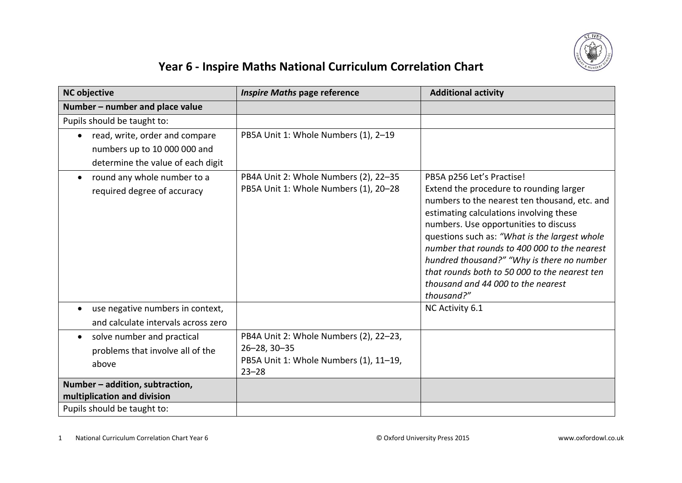

## **Year 6 - Inspire Maths National Curriculum Correlation Chart**

| <b>NC objective</b>                                                                  | <b>Inspire Maths page reference</b>                                                                                 | <b>Additional activity</b>                                                                                                                                                                                                                                                                                                                                                                                                                                    |
|--------------------------------------------------------------------------------------|---------------------------------------------------------------------------------------------------------------------|---------------------------------------------------------------------------------------------------------------------------------------------------------------------------------------------------------------------------------------------------------------------------------------------------------------------------------------------------------------------------------------------------------------------------------------------------------------|
| Number - number and place value                                                      |                                                                                                                     |                                                                                                                                                                                                                                                                                                                                                                                                                                                               |
| Pupils should be taught to:                                                          |                                                                                                                     |                                                                                                                                                                                                                                                                                                                                                                                                                                                               |
| read, write, order and compare<br>$\bullet$                                          | PB5A Unit 1: Whole Numbers (1), 2-19                                                                                |                                                                                                                                                                                                                                                                                                                                                                                                                                                               |
| numbers up to 10 000 000 and                                                         |                                                                                                                     |                                                                                                                                                                                                                                                                                                                                                                                                                                                               |
| determine the value of each digit                                                    |                                                                                                                     |                                                                                                                                                                                                                                                                                                                                                                                                                                                               |
| round any whole number to a<br>required degree of accuracy                           | PB4A Unit 2: Whole Numbers (2), 22-35<br>PB5A Unit 1: Whole Numbers (1), 20-28                                      | PB5A p256 Let's Practise!<br>Extend the procedure to rounding larger<br>numbers to the nearest ten thousand, etc. and<br>estimating calculations involving these<br>numbers. Use opportunities to discuss<br>questions such as: "What is the largest whole<br>number that rounds to 400 000 to the nearest<br>hundred thousand?" "Why is there no number<br>that rounds both to 50 000 to the nearest ten<br>thousand and 44 000 to the nearest<br>thousand?" |
| use negative numbers in context,<br>$\bullet$<br>and calculate intervals across zero |                                                                                                                     | NC Activity 6.1                                                                                                                                                                                                                                                                                                                                                                                                                                               |
| solve number and practical<br>$\bullet$<br>problems that involve all of the<br>above | PB4A Unit 2: Whole Numbers (2), 22-23,<br>$26 - 28, 30 - 35$<br>PB5A Unit 1: Whole Numbers (1), 11-19,<br>$23 - 28$ |                                                                                                                                                                                                                                                                                                                                                                                                                                                               |
| Number - addition, subtraction,<br>multiplication and division                       |                                                                                                                     |                                                                                                                                                                                                                                                                                                                                                                                                                                                               |
| Pupils should be taught to:                                                          |                                                                                                                     |                                                                                                                                                                                                                                                                                                                                                                                                                                                               |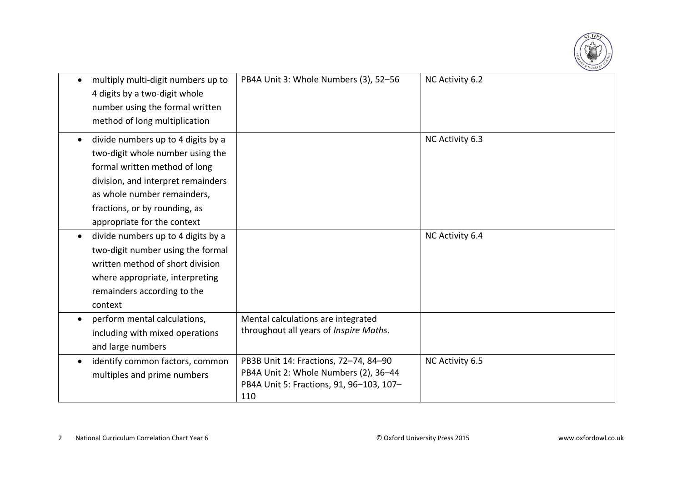

|           | multiply multi-digit numbers up to<br>4 digits by a two-digit whole<br>number using the formal written<br>method of long multiplication                                                                                                      | PB4A Unit 3: Whole Numbers (3), 52-56                                                                                             | NC Activity 6.2 |
|-----------|----------------------------------------------------------------------------------------------------------------------------------------------------------------------------------------------------------------------------------------------|-----------------------------------------------------------------------------------------------------------------------------------|-----------------|
| $\bullet$ | divide numbers up to 4 digits by a<br>two-digit whole number using the<br>formal written method of long<br>division, and interpret remainders<br>as whole number remainders,<br>fractions, or by rounding, as<br>appropriate for the context |                                                                                                                                   | NC Activity 6.3 |
| $\bullet$ | divide numbers up to 4 digits by a<br>two-digit number using the formal<br>written method of short division<br>where appropriate, interpreting<br>remainders according to the<br>context                                                     |                                                                                                                                   | NC Activity 6.4 |
| $\bullet$ | perform mental calculations,<br>including with mixed operations<br>and large numbers                                                                                                                                                         | Mental calculations are integrated<br>throughout all years of Inspire Maths.                                                      |                 |
| $\bullet$ | identify common factors, common<br>multiples and prime numbers                                                                                                                                                                               | PB3B Unit 14: Fractions, 72-74, 84-90<br>PB4A Unit 2: Whole Numbers (2), 36-44<br>PB4A Unit 5: Fractions, 91, 96-103, 107-<br>110 | NC Activity 6.5 |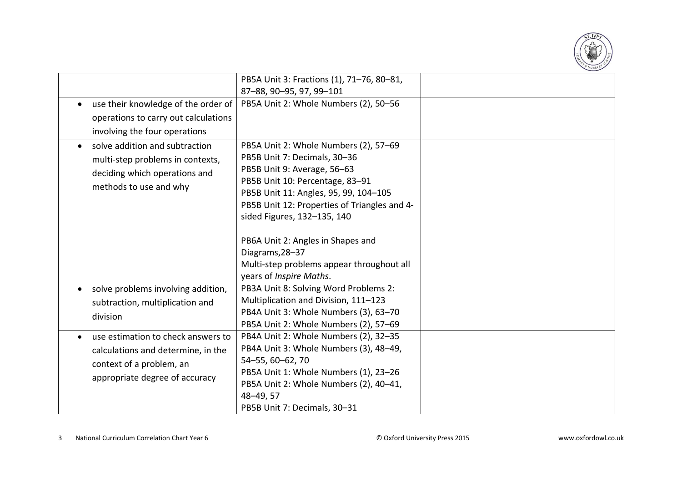

|                                                                                                                                        | PB5A Unit 3: Fractions (1), 71-76, 80-81,<br>87-88, 90-95, 97, 99-101                                                                                                                                                                                                                                |  |
|----------------------------------------------------------------------------------------------------------------------------------------|------------------------------------------------------------------------------------------------------------------------------------------------------------------------------------------------------------------------------------------------------------------------------------------------------|--|
| use their knowledge of the order of<br>$\bullet$<br>operations to carry out calculations<br>involving the four operations              | PB5A Unit 2: Whole Numbers (2), 50-56                                                                                                                                                                                                                                                                |  |
| solve addition and subtraction<br>multi-step problems in contexts,<br>deciding which operations and<br>methods to use and why          | PB5A Unit 2: Whole Numbers (2), 57-69<br>PB5B Unit 7: Decimals, 30-36<br>PB5B Unit 9: Average, 56-63<br>PB5B Unit 10: Percentage, 83-91<br>PB5B Unit 11: Angles, 95, 99, 104-105<br>PB5B Unit 12: Properties of Triangles and 4-<br>sided Figures, 132-135, 140<br>PB6A Unit 2: Angles in Shapes and |  |
|                                                                                                                                        | Diagrams, 28-37<br>Multi-step problems appear throughout all<br>years of Inspire Maths.                                                                                                                                                                                                              |  |
| solve problems involving addition,<br>subtraction, multiplication and<br>division                                                      | PB3A Unit 8: Solving Word Problems 2:<br>Multiplication and Division, 111-123<br>PB4A Unit 3: Whole Numbers (3), 63-70<br>PB5A Unit 2: Whole Numbers (2), 57-69                                                                                                                                      |  |
| use estimation to check answers to<br>calculations and determine, in the<br>context of a problem, an<br>appropriate degree of accuracy | PB4A Unit 2: Whole Numbers (2), 32-35<br>PB4A Unit 3: Whole Numbers (3), 48-49,<br>54-55, 60-62, 70<br>PB5A Unit 1: Whole Numbers (1), 23-26<br>PB5A Unit 2: Whole Numbers (2), 40-41,<br>48-49, 57<br>PB5B Unit 7: Decimals, 30-31                                                                  |  |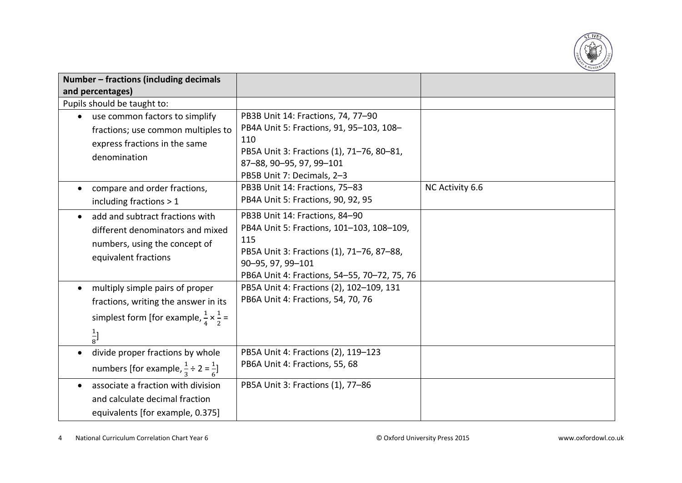

| Number - fractions (including decimals                         |                                              |                 |
|----------------------------------------------------------------|----------------------------------------------|-----------------|
| and percentages)                                               |                                              |                 |
| Pupils should be taught to:                                    |                                              |                 |
| use common factors to simplify                                 | PB3B Unit 14: Fractions, 74, 77-90           |                 |
| fractions; use common multiples to                             | PB4A Unit 5: Fractions, 91, 95-103, 108-     |                 |
| express fractions in the same                                  | 110                                          |                 |
| denomination                                                   | PB5A Unit 3: Fractions (1), 71-76, 80-81,    |                 |
|                                                                | 87-88, 90-95, 97, 99-101                     |                 |
|                                                                | PB5B Unit 7: Decimals, 2-3                   |                 |
| compare and order fractions,                                   | PB3B Unit 14: Fractions, 75-83               | NC Activity 6.6 |
| including fractions > 1                                        | PB4A Unit 5: Fractions, 90, 92, 95           |                 |
| add and subtract fractions with                                | PB3B Unit 14: Fractions, 84-90               |                 |
| different denominators and mixed                               | PB4A Unit 5: Fractions, 101-103, 108-109,    |                 |
| numbers, using the concept of                                  | 115                                          |                 |
| equivalent fractions                                           | PB5A Unit 3: Fractions (1), 71-76, 87-88,    |                 |
|                                                                | 90-95, 97, 99-101                            |                 |
|                                                                | PB6A Unit 4: Fractions, 54-55, 70-72, 75, 76 |                 |
| multiply simple pairs of proper                                | PB5A Unit 4: Fractions (2), 102-109, 131     |                 |
| fractions, writing the answer in its                           | PB6A Unit 4: Fractions, 54, 70, 76           |                 |
| simplest form [for example, $\frac{1}{4} \times \frac{1}{2} =$ |                                              |                 |
| $\frac{1}{8}$ ]                                                |                                              |                 |
| divide proper fractions by whole                               | PB5A Unit 4: Fractions (2), 119-123          |                 |
| numbers [for example, $\frac{1}{3} \div 2 = \frac{1}{6}$ ]     | PB6A Unit 4: Fractions, 55, 68               |                 |
| associate a fraction with division                             | PB5A Unit 3: Fractions (1), 77-86            |                 |
| and calculate decimal fraction                                 |                                              |                 |
| equivalents [for example, 0.375]                               |                                              |                 |

4 National Curriculum Correlation Chart Year 6 © Oxford University Press 2015 www.oxfordowl.co.uk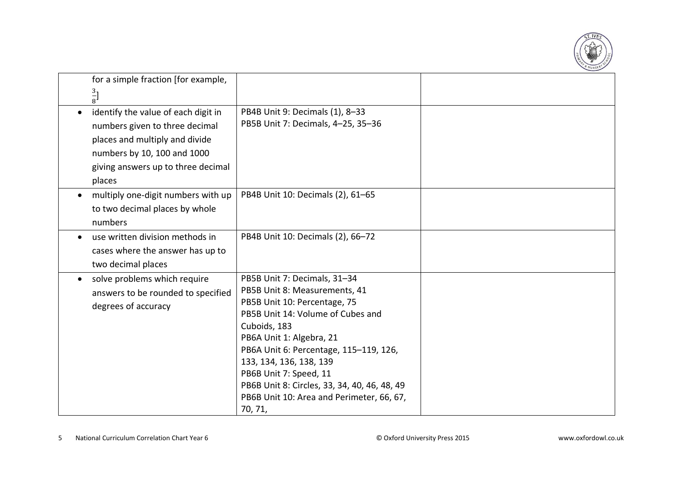

|           | for a simple fraction [for example,                                                                     |                                                                                                                                                                                                                                                                                                                                                                                       |  |
|-----------|---------------------------------------------------------------------------------------------------------|---------------------------------------------------------------------------------------------------------------------------------------------------------------------------------------------------------------------------------------------------------------------------------------------------------------------------------------------------------------------------------------|--|
|           | $rac{3}{8}$                                                                                             |                                                                                                                                                                                                                                                                                                                                                                                       |  |
| $\bullet$ | identify the value of each digit in<br>numbers given to three decimal<br>places and multiply and divide | PB4B Unit 9: Decimals (1), 8-33<br>PB5B Unit 7: Decimals, 4-25, 35-36                                                                                                                                                                                                                                                                                                                 |  |
|           | numbers by 10, 100 and 1000<br>giving answers up to three decimal<br>places                             |                                                                                                                                                                                                                                                                                                                                                                                       |  |
|           | multiply one-digit numbers with up<br>to two decimal places by whole<br>numbers                         | PB4B Unit 10: Decimals (2), 61-65                                                                                                                                                                                                                                                                                                                                                     |  |
|           | use written division methods in<br>cases where the answer has up to<br>two decimal places               | PB4B Unit 10: Decimals (2), 66-72                                                                                                                                                                                                                                                                                                                                                     |  |
|           | solve problems which require<br>answers to be rounded to specified<br>degrees of accuracy               | PB5B Unit 7: Decimals, 31-34<br>PB5B Unit 8: Measurements, 41<br>PB5B Unit 10: Percentage, 75<br>PB5B Unit 14: Volume of Cubes and<br>Cuboids, 183<br>PB6A Unit 1: Algebra, 21<br>PB6A Unit 6: Percentage, 115-119, 126,<br>133, 134, 136, 138, 139<br>PB6B Unit 7: Speed, 11<br>PB6B Unit 8: Circles, 33, 34, 40, 46, 48, 49<br>PB6B Unit 10: Area and Perimeter, 66, 67,<br>70, 71, |  |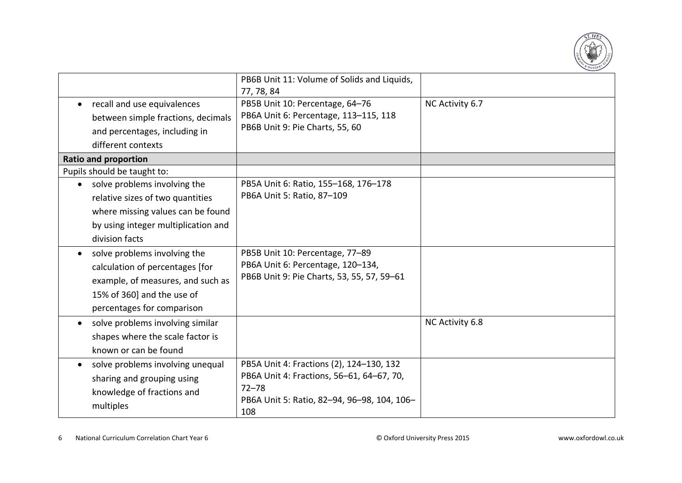

|                                                                                                                                                                                               | PB6B Unit 11: Volume of Solids and Liquids,<br>77, 78, 84                                                                                                |                 |
|-----------------------------------------------------------------------------------------------------------------------------------------------------------------------------------------------|----------------------------------------------------------------------------------------------------------------------------------------------------------|-----------------|
| recall and use equivalences<br>between simple fractions, decimals<br>and percentages, including in<br>different contexts<br><b>Ratio and proportion</b>                                       | PB5B Unit 10: Percentage, 64-76<br>PB6A Unit 6: Percentage, 113-115, 118<br>PB6B Unit 9: Pie Charts, 55, 60                                              | NC Activity 6.7 |
| Pupils should be taught to:<br>solve problems involving the<br>relative sizes of two quantities<br>where missing values can be found<br>by using integer multiplication and<br>division facts | PB5A Unit 6: Ratio, 155-168, 176-178<br>PB6A Unit 5: Ratio, 87-109                                                                                       |                 |
| solve problems involving the<br>calculation of percentages [for<br>example, of measures, and such as<br>15% of 360] and the use of<br>percentages for comparison                              | PB5B Unit 10: Percentage, 77-89<br>PB6A Unit 6: Percentage, 120-134,<br>PB6B Unit 9: Pie Charts, 53, 55, 57, 59-61                                       |                 |
| solve problems involving similar<br>shapes where the scale factor is<br>known or can be found                                                                                                 |                                                                                                                                                          | NC Activity 6.8 |
| solve problems involving unequal<br>sharing and grouping using<br>knowledge of fractions and<br>multiples                                                                                     | PB5A Unit 4: Fractions (2), 124-130, 132<br>PB6A Unit 4: Fractions, 56-61, 64-67, 70,<br>$72 - 78$<br>PB6A Unit 5: Ratio, 82-94, 96-98, 104, 106-<br>108 |                 |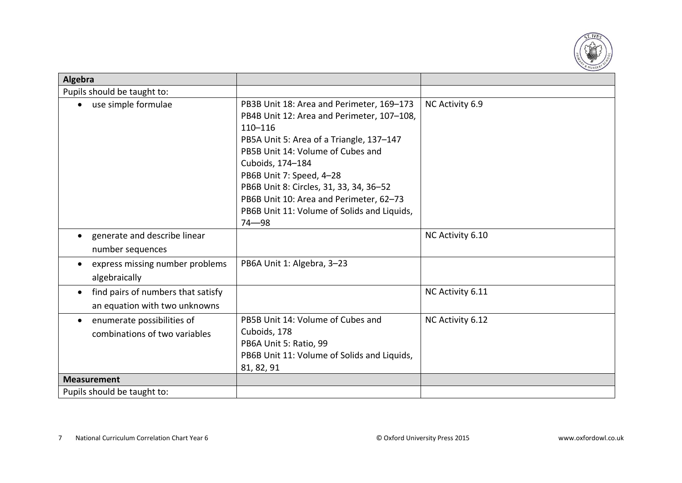

| Algebra                                                                          |                                                                                                                                                                                                                                                                                                                                                                                           |                  |
|----------------------------------------------------------------------------------|-------------------------------------------------------------------------------------------------------------------------------------------------------------------------------------------------------------------------------------------------------------------------------------------------------------------------------------------------------------------------------------------|------------------|
| Pupils should be taught to:                                                      |                                                                                                                                                                                                                                                                                                                                                                                           |                  |
| use simple formulae                                                              | PB3B Unit 18: Area and Perimeter, 169-173<br>PB4B Unit 12: Area and Perimeter, 107-108,<br>$110 - 116$<br>PB5A Unit 5: Area of a Triangle, 137-147<br>PB5B Unit 14: Volume of Cubes and<br>Cuboids, 174-184<br>PB6B Unit 7: Speed, 4-28<br>PB6B Unit 8: Circles, 31, 33, 34, 36-52<br>PB6B Unit 10: Area and Perimeter, 62-73<br>PB6B Unit 11: Volume of Solids and Liquids,<br>$74 - 98$ | NC Activity 6.9  |
| generate and describe linear<br>number sequences                                 |                                                                                                                                                                                                                                                                                                                                                                                           | NC Activity 6.10 |
| express missing number problems<br>algebraically                                 | PB6A Unit 1: Algebra, 3-23                                                                                                                                                                                                                                                                                                                                                                |                  |
| find pairs of numbers that satisfy<br>$\bullet$<br>an equation with two unknowns |                                                                                                                                                                                                                                                                                                                                                                                           | NC Activity 6.11 |
| enumerate possibilities of<br>combinations of two variables                      | PB5B Unit 14: Volume of Cubes and<br>Cuboids, 178<br>PB6A Unit 5: Ratio, 99<br>PB6B Unit 11: Volume of Solids and Liquids,<br>81, 82, 91                                                                                                                                                                                                                                                  | NC Activity 6.12 |
| <b>Measurement</b>                                                               |                                                                                                                                                                                                                                                                                                                                                                                           |                  |
| Pupils should be taught to:                                                      |                                                                                                                                                                                                                                                                                                                                                                                           |                  |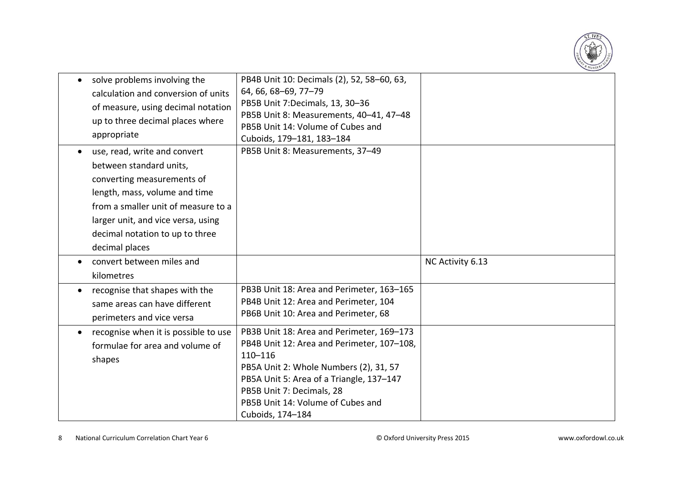

| $\bullet$ | solve problems involving the<br>calculation and conversion of units<br>of measure, using decimal notation<br>up to three decimal places where<br>appropriate                                                                                             | PB4B Unit 10: Decimals (2), 52, 58-60, 63,<br>64, 66, 68-69, 77-79<br>PB5B Unit 7:Decimals, 13, 30-36<br>PB5B Unit 8: Measurements, 40-41, 47-48<br>PB5B Unit 14: Volume of Cubes and<br>Cuboids, 179-181, 183-184                                                                 |                  |
|-----------|----------------------------------------------------------------------------------------------------------------------------------------------------------------------------------------------------------------------------------------------------------|------------------------------------------------------------------------------------------------------------------------------------------------------------------------------------------------------------------------------------------------------------------------------------|------------------|
| $\bullet$ | use, read, write and convert<br>between standard units,<br>converting measurements of<br>length, mass, volume and time<br>from a smaller unit of measure to a<br>larger unit, and vice versa, using<br>decimal notation to up to three<br>decimal places | PB5B Unit 8: Measurements, 37-49                                                                                                                                                                                                                                                   |                  |
| $\bullet$ | convert between miles and<br>kilometres                                                                                                                                                                                                                  |                                                                                                                                                                                                                                                                                    | NC Activity 6.13 |
| ٠         | recognise that shapes with the<br>same areas can have different<br>perimeters and vice versa                                                                                                                                                             | PB3B Unit 18: Area and Perimeter, 163-165<br>PB4B Unit 12: Area and Perimeter, 104<br>PB6B Unit 10: Area and Perimeter, 68                                                                                                                                                         |                  |
| $\bullet$ | recognise when it is possible to use<br>formulae for area and volume of<br>shapes                                                                                                                                                                        | PB3B Unit 18: Area and Perimeter, 169-173<br>PB4B Unit 12: Area and Perimeter, 107-108,<br>$110 - 116$<br>PB5A Unit 2: Whole Numbers (2), 31, 57<br>PB5A Unit 5: Area of a Triangle, 137-147<br>PB5B Unit 7: Decimals, 28<br>PB5B Unit 14: Volume of Cubes and<br>Cuboids, 174-184 |                  |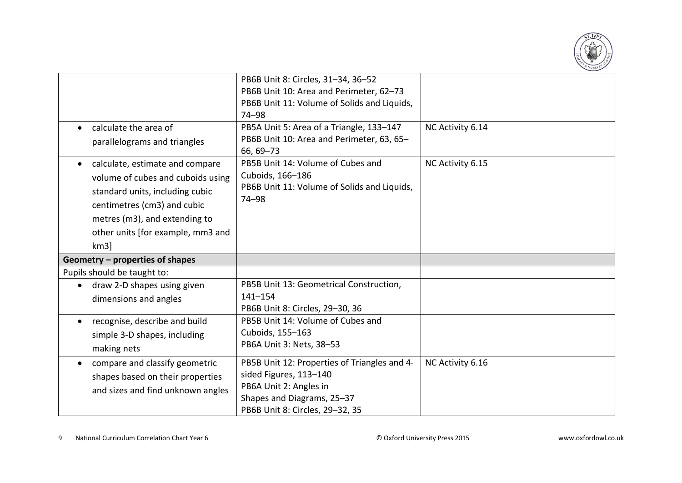

|                                                                                                                                                                                                                     | PB6B Unit 8: Circles, 31-34, 36-52<br>PB6B Unit 10: Area and Perimeter, 62-73<br>PB6B Unit 11: Volume of Solids and Liquids, |                  |
|---------------------------------------------------------------------------------------------------------------------------------------------------------------------------------------------------------------------|------------------------------------------------------------------------------------------------------------------------------|------------------|
| calculate the area of<br>parallelograms and triangles                                                                                                                                                               | 74-98<br>PB5A Unit 5: Area of a Triangle, 133-147<br>PB6B Unit 10: Area and Perimeter, 63, 65-                               | NC Activity 6.14 |
|                                                                                                                                                                                                                     | 66, 69-73                                                                                                                    |                  |
| calculate, estimate and compare<br>volume of cubes and cuboids using<br>standard units, including cubic<br>centimetres (cm3) and cubic<br>metres (m3), and extending to<br>other units [for example, mm3 and<br>km3 | PB5B Unit 14: Volume of Cubes and<br>Cuboids, 166-186<br>PB6B Unit 11: Volume of Solids and Liquids,<br>74-98                | NC Activity 6.15 |
| Geometry - properties of shapes                                                                                                                                                                                     |                                                                                                                              |                  |
| Pupils should be taught to:                                                                                                                                                                                         |                                                                                                                              |                  |
| draw 2-D shapes using given                                                                                                                                                                                         | PB5B Unit 13: Geometrical Construction,                                                                                      |                  |
| dimensions and angles                                                                                                                                                                                               | $141 - 154$<br>PB6B Unit 8: Circles, 29-30, 36                                                                               |                  |
| recognise, describe and build                                                                                                                                                                                       | PB5B Unit 14: Volume of Cubes and                                                                                            |                  |
| simple 3-D shapes, including                                                                                                                                                                                        | Cuboids, 155-163                                                                                                             |                  |
| making nets                                                                                                                                                                                                         | PB6A Unit 3: Nets, 38-53                                                                                                     |                  |
| compare and classify geometric<br>$\bullet$                                                                                                                                                                         | PB5B Unit 12: Properties of Triangles and 4-                                                                                 | NC Activity 6.16 |
| shapes based on their properties                                                                                                                                                                                    | sided Figures, 113-140                                                                                                       |                  |
| and sizes and find unknown angles                                                                                                                                                                                   | PB6A Unit 2: Angles in<br>Shapes and Diagrams, 25-37                                                                         |                  |
|                                                                                                                                                                                                                     | PB6B Unit 8: Circles, 29-32, 35                                                                                              |                  |